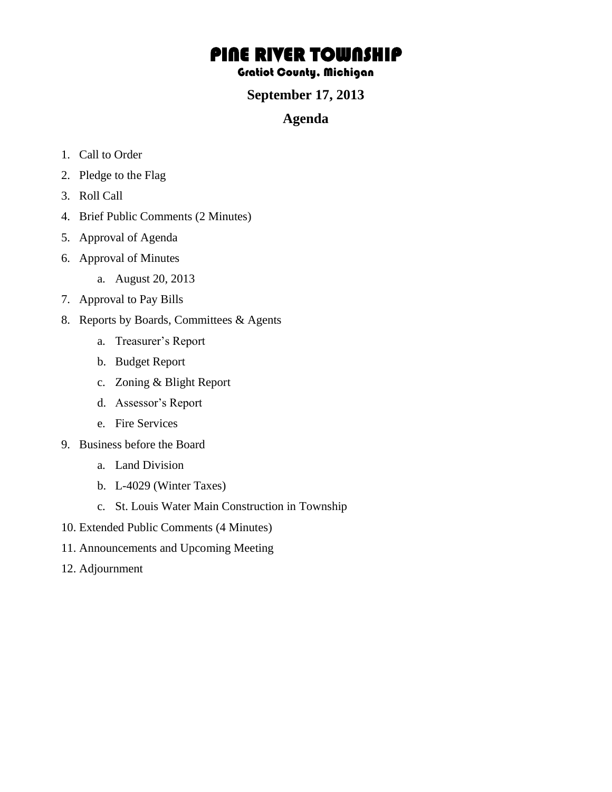# PINE RIVER TOWNSHIP

### Gratiot County, Michigan

### **September 17, 2013**

## **Agenda**

- 1. Call to Order
- 2. Pledge to the Flag
- 3. Roll Call
- 4. Brief Public Comments (2 Minutes)
- 5. Approval of Agenda
- 6. Approval of Minutes
	- a. August 20, 2013
- 7. Approval to Pay Bills
- 8. Reports by Boards, Committees & Agents
	- a. Treasurer's Report
	- b. Budget Report
	- c. Zoning & Blight Report
	- d. Assessor's Report
	- e. Fire Services
- 9. Business before the Board
	- a. Land Division
	- b. L-4029 (Winter Taxes)
	- c. St. Louis Water Main Construction in Township
- 10. Extended Public Comments (4 Minutes)
- 11. Announcements and Upcoming Meeting
- 12. Adjournment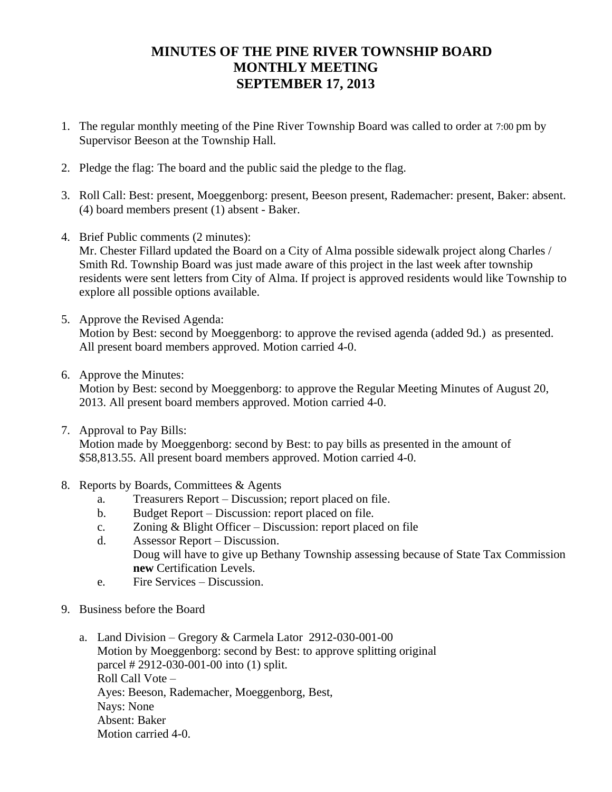# **MINUTES OF THE PINE RIVER TOWNSHIP BOARD MONTHLY MEETING SEPTEMBER 17, 2013**

- 1. The regular monthly meeting of the Pine River Township Board was called to order at 7:00 pm by Supervisor Beeson at the Township Hall.
- 2. Pledge the flag: The board and the public said the pledge to the flag.
- 3. Roll Call: Best: present, Moeggenborg: present, Beeson present, Rademacher: present, Baker: absent. (4) board members present (1) absent - Baker.
- 4. Brief Public comments (2 minutes):

Mr. Chester Fillard updated the Board on a City of Alma possible sidewalk project along Charles / Smith Rd. Township Board was just made aware of this project in the last week after township residents were sent letters from City of Alma. If project is approved residents would like Township to explore all possible options available.

- 5. Approve the Revised Agenda: Motion by Best: second by Moeggenborg: to approve the revised agenda (added 9d.) as presented. All present board members approved. Motion carried 4-0.
- 6. Approve the Minutes:

Motion by Best: second by Moeggenborg: to approve the Regular Meeting Minutes of August 20, 2013. All present board members approved. Motion carried 4-0.

7. Approval to Pay Bills:

Motion made by Moeggenborg: second by Best: to pay bills as presented in the amount of \$58,813.55. All present board members approved. Motion carried 4-0.

- 8. Reports by Boards, Committees & Agents
	- a. Treasurers Report Discussion; report placed on file.
	- b. Budget Report Discussion: report placed on file.
	- c. Zoning & Blight Officer Discussion: report placed on file
	- d. Assessor Report Discussion. Doug will have to give up Bethany Township assessing because of State Tax Commission **new** Certification Levels.
	- e. Fire Services Discussion.
- 9. Business before the Board
	- a. Land Division Gregory & Carmela Lator 2912-030-001-00 Motion by Moeggenborg: second by Best: to approve splitting original parcel # 2912-030-001-00 into (1) split. Roll Call Vote – Ayes: Beeson, Rademacher, Moeggenborg, Best, Nays: None Absent: Baker Motion carried 4-0.